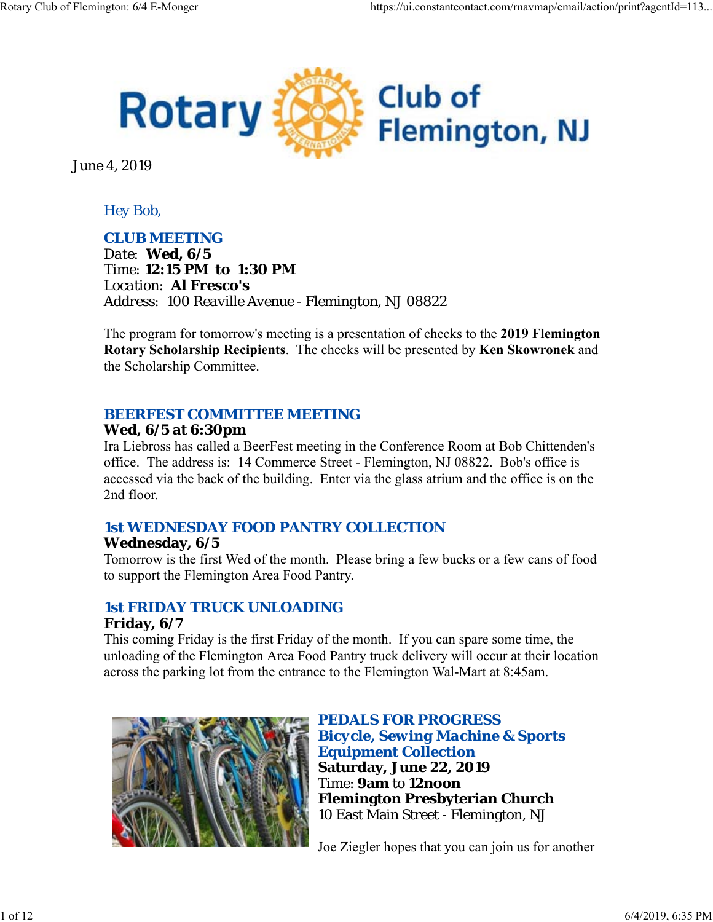

June 4, 2019

### *Hey Bob,*

### *CLUB MEETING*

*Date: Wed, 6/5 Time: 12:15 PM to 1:30 PM Location: Al Fresco's Address: 100 Reaville Avenue - Flemington, NJ 08822*

The program for tomorrow's meeting is a presentation of checks to the **2019 Flemington Rotary Scholarship Recipients**. The checks will be presented by **Ken Skowronek** and the Scholarship Committee.

### *BEERFEST COMMITTEE MEETING*

### **Wed, 6/5 at 6:30pm**

Ira Liebross has called a BeerFest meeting in the Conference Room at Bob Chittenden's office. The address is: 14 Commerce Street - Flemington, NJ 08822. Bob's office is accessed via the back of the building. Enter via the glass atrium and the office is on the 2nd floor.

## *1st WEDNESDAY FOOD PANTRY COLLECTION*

### **Wednesday, 6/5**

Tomorrow is the first Wed of the month. Please bring a few bucks or a few cans of food to support the Flemington Area Food Pantry.

### *1st FRIDAY TRUCK UNLOADING* **Friday, 6/7**

This coming Friday is the first Friday of the month. If you can spare some time, the unloading of the Flemington Area Food Pantry truck delivery will occur at their location across the parking lot from the entrance to the Flemington Wal-Mart at 8:45am.



*PEDALS FOR PROGRESS Bicycle, Sewing Machine & Sports Equipment Collection* **Saturday, June 22, 2019** Time: **9am** to **12noon Flemington Presbyterian Church** 10 East Main Street - Flemington, NJ

Joe Ziegler hopes that you can join us for another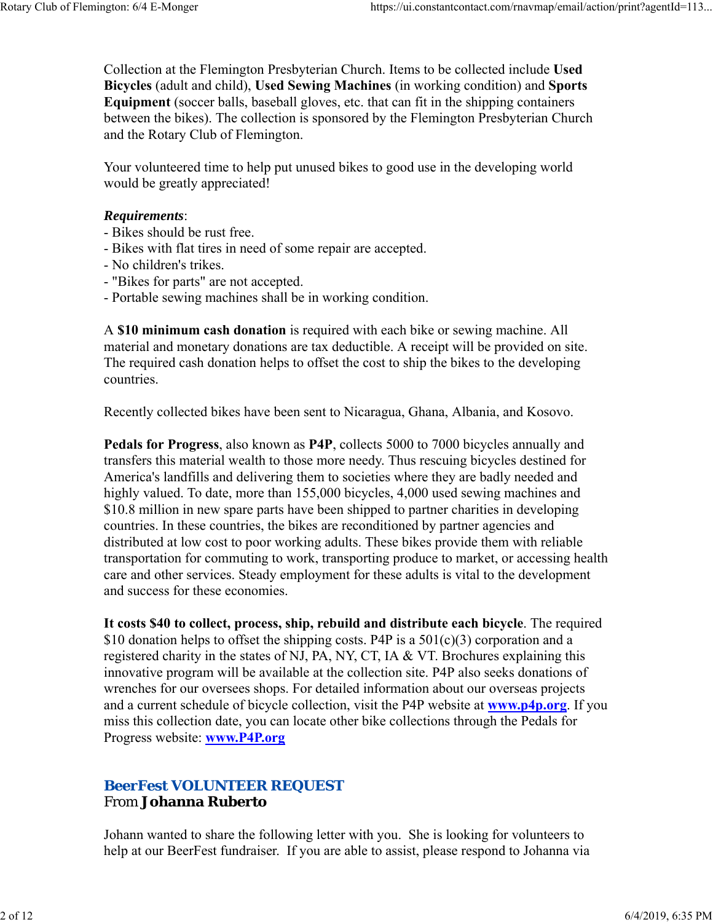Collection at the Flemington Presbyterian Church. Items to be collected include **Used Bicycles** (adult and child), **Used Sewing Machines** (in working condition) and **Sports Equipment** (soccer balls, baseball gloves, etc. that can fit in the shipping containers between the bikes). The collection is sponsored by the Flemington Presbyterian Church and the Rotary Club of Flemington.

Your volunteered time to help put unused bikes to good use in the developing world would be greatly appreciated!

#### *Requirements*:

- Bikes should be rust free.
- Bikes with flat tires in need of some repair are accepted.
- No children's trikes.
- "Bikes for parts" are not accepted.
- Portable sewing machines shall be in working condition.

A **\$10 minimum cash donation** is required with each bike or sewing machine. All material and monetary donations are tax deductible. A receipt will be provided on site. The required cash donation helps to offset the cost to ship the bikes to the developing countries.

Recently collected bikes have been sent to Nicaragua, Ghana, Albania, and Kosovo.

**Pedals for Progress**, also known as **P4P**, collects 5000 to 7000 bicycles annually and transfers this material wealth to those more needy. Thus rescuing bicycles destined for America's landfills and delivering them to societies where they are badly needed and highly valued. To date, more than 155,000 bicycles, 4,000 used sewing machines and \$10.8 million in new spare parts have been shipped to partner charities in developing countries. In these countries, the bikes are reconditioned by partner agencies and distributed at low cost to poor working adults. These bikes provide them with reliable transportation for commuting to work, transporting produce to market, or accessing health care and other services. Steady employment for these adults is vital to the development and success for these economies.

**It costs \$40 to collect, process, ship, rebuild and distribute each bicycle**. The required \$10 donation helps to offset the shipping costs. P4P is a  $501(c)(3)$  corporation and a registered charity in the states of NJ, PA, NY, CT, IA & VT. Brochures explaining this innovative program will be available at the collection site. P4P also seeks donations of wrenches for our oversees shops. For detailed information about our overseas projects and a current schedule of bicycle collection, visit the P4P website at **www.p4p.org**. If you miss this collection date, you can locate other bike collections through the Pedals for Progress website: **www.P4P.org**

### *BeerFest VOLUNTEER REQUEST* From **Johanna Ruberto**

Johann wanted to share the following letter with you. She is looking for volunteers to help at our BeerFest fundraiser. If you are able to assist, please respond to Johanna via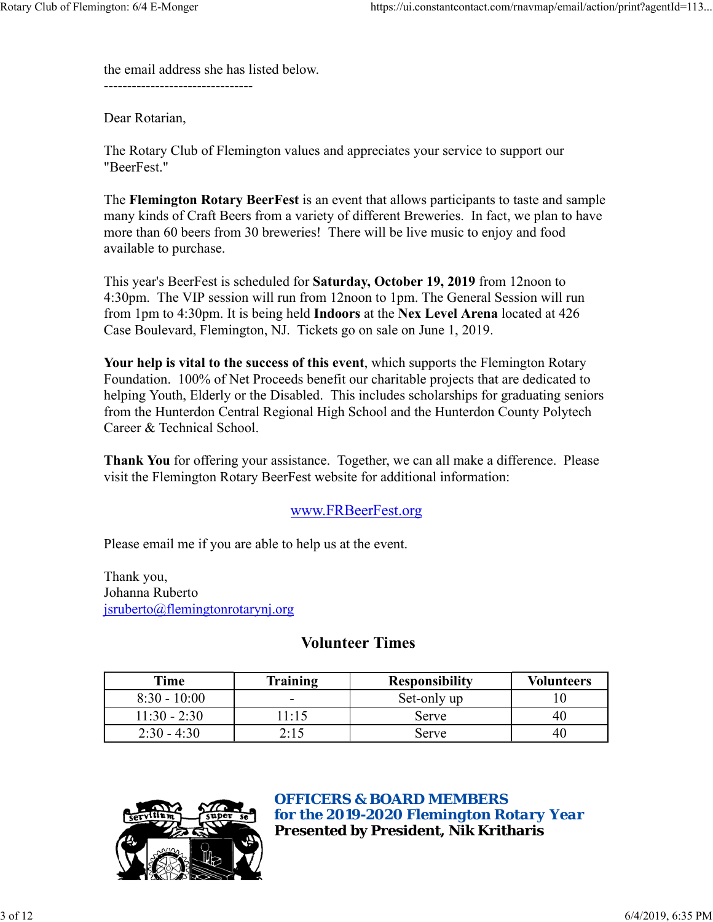the email address she has listed below.

 $-$ 

Dear Rotarian,

The Rotary Club of Flemington values and appreciates your service to support our "BeerFest."

The **Flemington Rotary BeerFest** is an event that allows participants to taste and sample many kinds of Craft Beers from a variety of different Breweries. In fact, we plan to have more than 60 beers from 30 breweries! There will be live music to enjoy and food available to purchase.

This year's BeerFest is scheduled for **Saturday, October 19, 2019** from 12noon to 4:30pm. The VIP session will run from 12noon to 1pm. The General Session will run from 1pm to 4:30pm. It is being held **Indoors** at the **Nex Level Arena** located at 426 Case Boulevard, Flemington, NJ. Tickets go on sale on June 1, 2019.

**Your help is vital to the success of this event**, which supports the Flemington Rotary Foundation. 100% of Net Proceeds benefit our charitable projects that are dedicated to helping Youth, Elderly or the Disabled. This includes scholarships for graduating seniors from the Hunterdon Central Regional High School and the Hunterdon County Polytech Career & Technical School.

**Thank You** for offering your assistance. Together, we can all make a difference. Please visit the Flemington Rotary BeerFest website for additional information:

## www.FRBeerFest.org

Please email me if you are able to help us at the event.

Thank you, Johanna Ruberto jsruberto@flemingtonrotarynj.org

## **Volunteer Times**

| Time           | Training     | <b>Responsibility</b> | <b>Volunteers</b> |
|----------------|--------------|-----------------------|-------------------|
| $8:30 - 10:00$ | -            | Set-only up           |                   |
| $11:30 - 2:30$ | $1 \cdot 15$ | Serve                 | 40                |
| $2:30 - 4:30$  | 7.14         | Serve                 | 40                |



### *OFFICERS & BOARD MEMBERS for the 2019-2020 Flemington Rotary Year* **Presented by President, Nik Kritharis**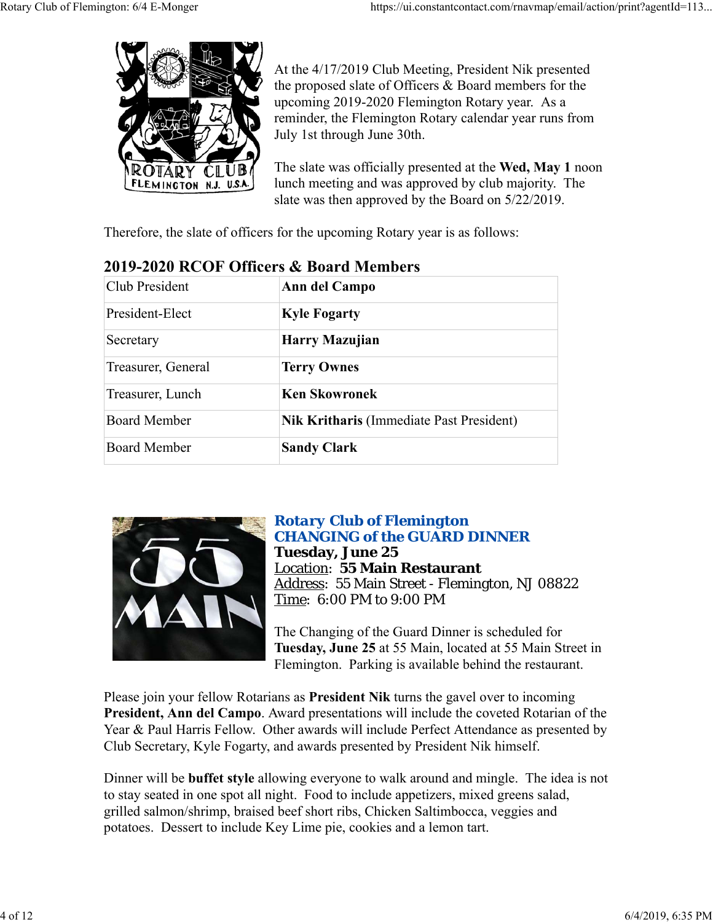

At the 4/17/2019 Club Meeting, President Nik presented the proposed slate of Officers & Board members for the upcoming 2019-2020 Flemington Rotary year. As a reminder, the Flemington Rotary calendar year runs from July 1st through June 30th.

The slate was officially presented at the **Wed, May 1** noon lunch meeting and was approved by club majority. The slate was then approved by the Board on 5/22/2019.

Therefore, the slate of officers for the upcoming Rotary year is as follows:

| Club President      | Ann del Campo                                   |  |
|---------------------|-------------------------------------------------|--|
| President-Elect     | <b>Kyle Fogarty</b>                             |  |
| Secretary           | Harry Mazujian                                  |  |
| Treasurer, General  | <b>Terry Ownes</b>                              |  |
| Treasurer, Lunch    | <b>Ken Skowronek</b>                            |  |
| <b>Board Member</b> | <b>Nik Kritharis</b> (Immediate Past President) |  |
| <b>Board Member</b> | <b>Sandy Clark</b>                              |  |

# **2019-2020 RCOF Officers & Board Members**



### *Rotary Club of Flemington CHANGING of the GUARD DINNER* **Tuesday, June 25** Location: **55 Main Restaurant** Address: 55 Main Street - Flemington, NJ 08822 Time: 6:00 PM to 9:00 PM

The Changing of the Guard Dinner is scheduled for **Tuesday, June 25** at 55 Main, located at 55 Main Street in Flemington. Parking is available behind the restaurant.

Please join your fellow Rotarians as **President Nik** turns the gavel over to incoming **President, Ann del Campo**. Award presentations will include the coveted Rotarian of the Year & Paul Harris Fellow. Other awards will include Perfect Attendance as presented by Club Secretary, Kyle Fogarty, and awards presented by President Nik himself.

Dinner will be **buffet style** allowing everyone to walk around and mingle. The idea is not to stay seated in one spot all night. Food to include appetizers, mixed greens salad, grilled salmon/shrimp, braised beef short ribs, Chicken Saltimbocca, veggies and potatoes. Dessert to include Key Lime pie, cookies and a lemon tart.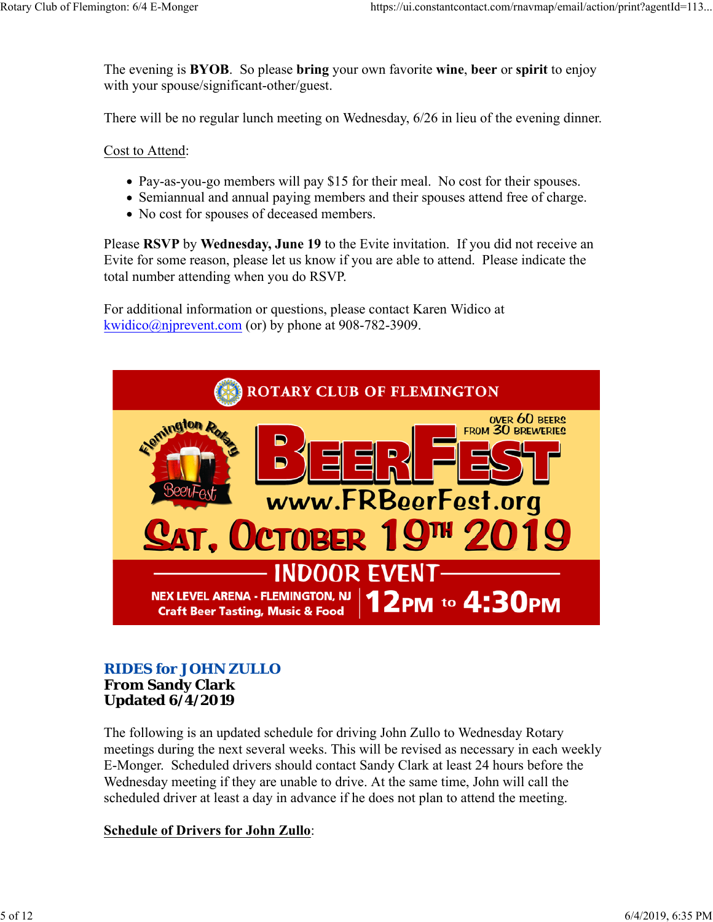The evening is **BYOB**. So please **bring** your own favorite **wine**, **beer** or **spirit** to enjoy with your spouse/significant-other/guest.

There will be no regular lunch meeting on Wednesday, 6/26 in lieu of the evening dinner.

Cost to Attend:

- Pay-as-you-go members will pay \$15 for their meal. No cost for their spouses.
- Semiannual and annual paying members and their spouses attend free of charge.
- No cost for spouses of deceased members.

Please **RSVP** by **Wednesday, June 19** to the Evite invitation. If you did not receive an Evite for some reason, please let us know if you are able to attend. Please indicate the total number attending when you do RSVP.

For additional information or questions, please contact Karen Widico at kwidico@njprevent.com (or) by phone at 908-782-3909.



### *RIDES for JOHN ZULLO* **From Sandy Clark Updated 6/4/2019**

The following is an updated schedule for driving John Zullo to Wednesday Rotary meetings during the next several weeks. This will be revised as necessary in each weekly E-Monger. Scheduled drivers should contact Sandy Clark at least 24 hours before the Wednesday meeting if they are unable to drive. At the same time, John will call the scheduled driver at least a day in advance if he does not plan to attend the meeting.

### **Schedule of Drivers for John Zullo**: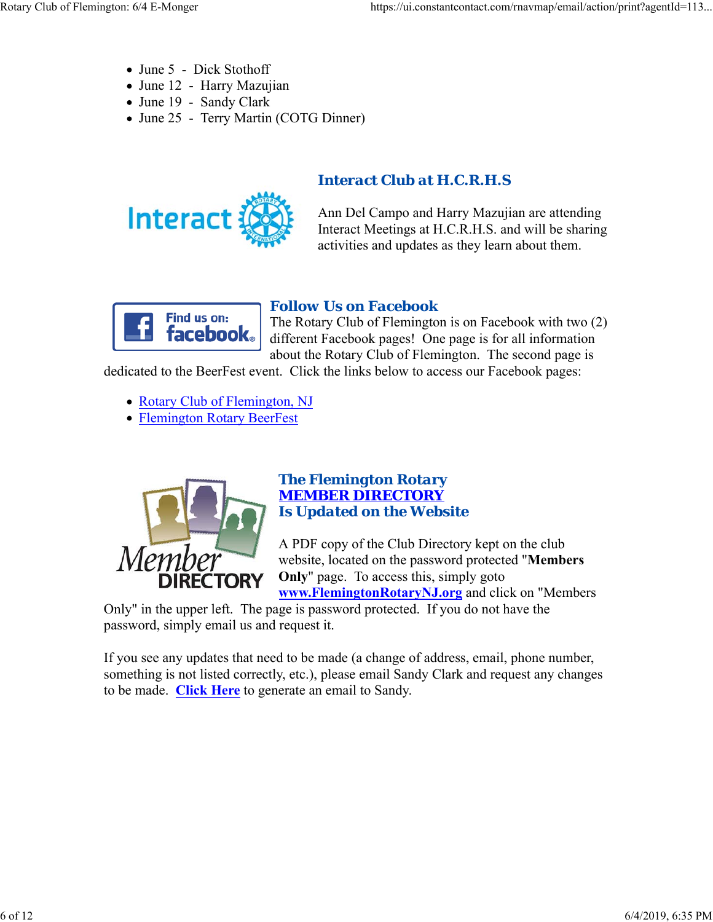- June 5 Dick Stothoff
- June 12 Harry Mazujian
- June 19 Sandy Clark
- June 25 Terry Martin (COTG Dinner)



# *Interact Club at H.C.R.H.S*

Ann Del Campo and Harry Mazujian are attending Interact Meetings at H.C.R.H.S. and will be sharing activities and updates as they learn about them.



### *Follow Us on Facebook*

The Rotary Club of Flemington is on Facebook with two (2) different Facebook pages! One page is for all information about the Rotary Club of Flemington. The second page is

dedicated to the BeerFest event. Click the links below to access our Facebook pages:

- Rotary Club of Flemington, NJ
- Flemington Rotary BeerFest



### *The Flemington Rotary MEMBER DIRECTORY Is Updated on the Website*

A PDF copy of the Club Directory kept on the club website, located on the password protected "**Members Only**" page. To access this, simply goto **www.FlemingtonRotaryNJ.org** and click on "Members

Only" in the upper left. The page is password protected. If you do not have the password, simply email us and request it.

If you see any updates that need to be made (a change of address, email, phone number, something is not listed correctly, etc.), please email Sandy Clark and request any changes to be made. **Click Here** to generate an email to Sandy.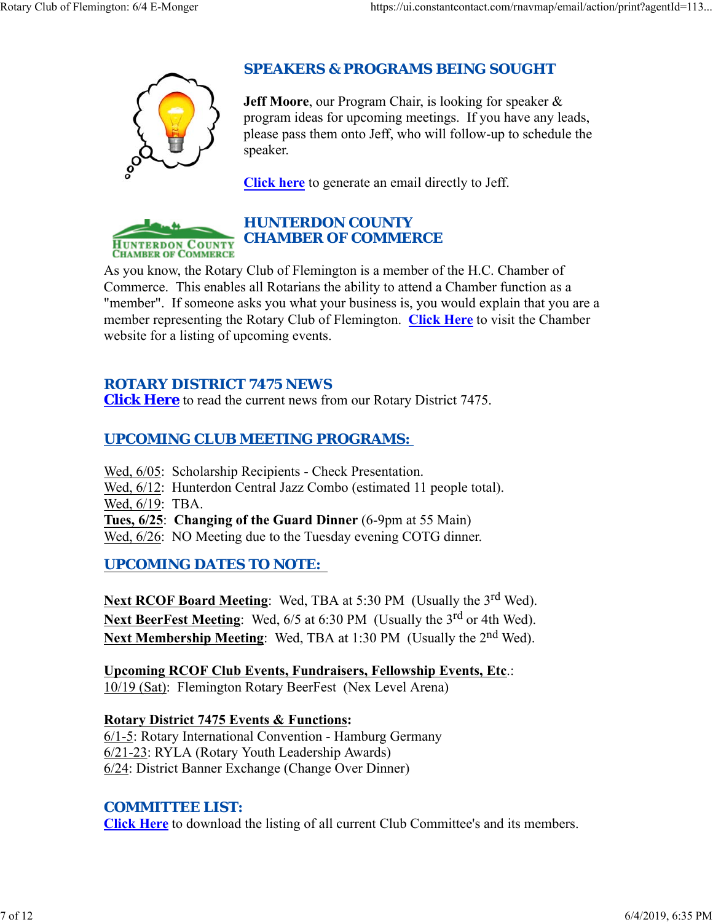

# *SPEAKERS & PROGRAMS BEING SOUGHT*

**Jeff Moore**, our Program Chair, is looking for speaker & program ideas for upcoming meetings. If you have any leads, please pass them onto Jeff, who will follow-up to schedule the speaker.

**Click here** to generate an email directly to Jeff.



# *HUNTERDON COUNTY CHAMBER OF COMMERCE*

As you know, the Rotary Club of Flemington is a member of the H.C. Chamber of Commerce. This enables all Rotarians the ability to attend a Chamber function as a "member". If someone asks you what your business is, you would explain that you are a member representing the Rotary Club of Flemington. **Click Here** to visit the Chamber website for a listing of upcoming events.

## *ROTARY DISTRICT 7475 NEWS*

**Click Here** to read the current news from our Rotary District 7475.

# *UPCOMING CLUB MEETING PROGRAMS:*

- Wed, 6/05: Scholarship Recipients Check Presentation.
- Wed, 6/12: Hunterdon Central Jazz Combo (estimated 11 people total).
- Wed, 6/19: TBA.
- **Tues, 6/25**: **Changing of the Guard Dinner** (6-9pm at 55 Main)
- Wed,  $6/26$ : NO Meeting due to the Tuesday evening COTG dinner.

# *UPCOMING DATES TO NOTE:*

**Next RCOF Board Meeting:** Wed, TBA at 5:30 PM (Usually the 3<sup>rd</sup> Wed). Next BeerFest Meeting: Wed, 6/5 at 6:30 PM (Usually the 3<sup>rd</sup> or 4th Wed). **Next Membership Meeting:** Wed, TBA at 1:30 PM (Usually the 2<sup>nd</sup> Wed).

**Upcoming RCOF Club Events, Fundraisers, Fellowship Events, Etc**.: 10/19 (Sat): Flemington Rotary BeerFest (Nex Level Arena)

**Rotary District 7475 Events & Functions:** 6/1-5: Rotary International Convention - Hamburg Germany 6/21-23: RYLA (Rotary Youth Leadership Awards) 6/24: District Banner Exchange (Change Over Dinner)

## *COMMITTEE LIST:*

**Click Here** to download the listing of all current Club Committee's and its members.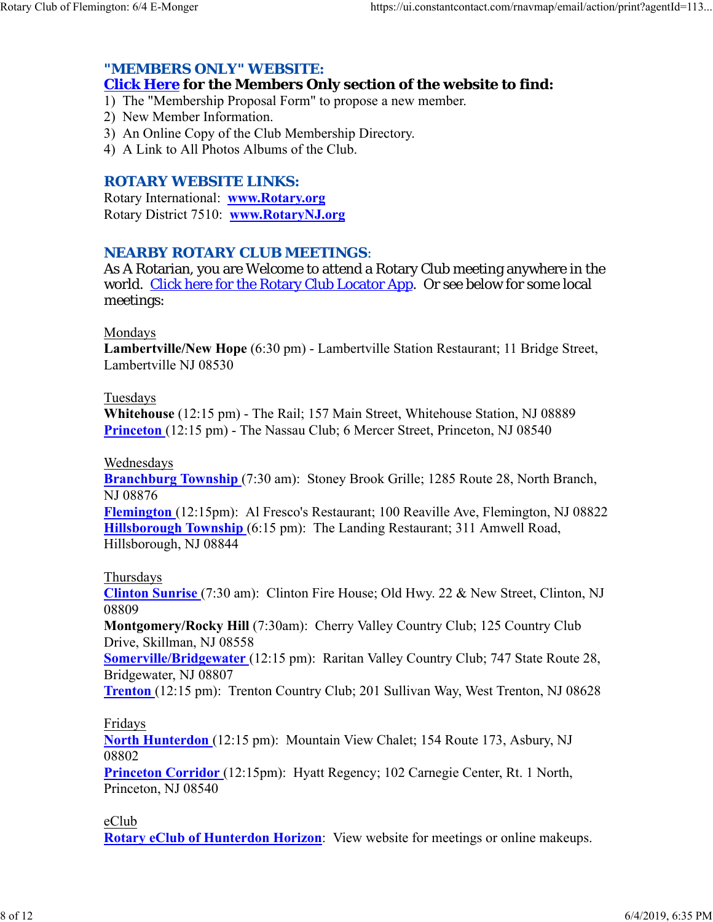### *"MEMBERS ONLY" WEBSITE:*

### **Click Here for the Members Only section of the website to find:**

1) The "Membership Proposal Form" to propose a new member.

- 2) New Member Information.
- 3) An Online Copy of the Club Membership Directory.
- 4) A Link to All Photos Albums of the Club.

### *ROTARY WEBSITE LINKS:*

Rotary International: **www.Rotary.org** Rotary District 7510: **www.RotaryNJ.org**

### *NEARBY ROTARY CLUB MEETINGS:*

As A Rotarian, you are Welcome to attend a Rotary Club meeting anywhere in the world. Click here for the Rotary Club Locator App. Or see below for some local meetings:

#### Mondays

**Lambertville/New Hope** (6:30 pm) - Lambertville Station Restaurant; 11 Bridge Street, Lambertville NJ 08530

#### Tuesdays

**Whitehouse** (12:15 pm) - The Rail; 157 Main Street, Whitehouse Station, NJ 08889 **Princeton** (12:15 pm) - The Nassau Club; 6 Mercer Street, Princeton, NJ 08540

#### Wednesdays

**Branchburg Township** (7:30 am): Stoney Brook Grille; 1285 Route 28, North Branch, NJ 08876

**Flemington** (12:15pm): Al Fresco's Restaurant; 100 Reaville Ave, Flemington, NJ 08822 **Hillsborough Township** (6:15 pm): The Landing Restaurant; 311 Amwell Road, Hillsborough, NJ 08844

### Thursdays

**Clinton Sunrise** (7:30 am): Clinton Fire House; Old Hwy. 22 & New Street, Clinton, NJ 08809

**Montgomery/Rocky Hill** (7:30am): Cherry Valley Country Club; 125 Country Club Drive, Skillman, NJ 08558

**Somerville/Bridgewater** (12:15 pm): Raritan Valley Country Club; 747 State Route 28, Bridgewater, NJ 08807

**Trenton** (12:15 pm): Trenton Country Club; 201 Sullivan Way, West Trenton, NJ 08628

### Fridays

**North Hunterdon** (12:15 pm): Mountain View Chalet; 154 Route 173, Asbury, NJ 08802

**Princeton Corridor** (12:15pm): Hyatt Regency; 102 Carnegie Center, Rt. 1 North, Princeton, NJ 08540

### eClub

**Rotary eClub of Hunterdon Horizon**: View website for meetings or online makeups.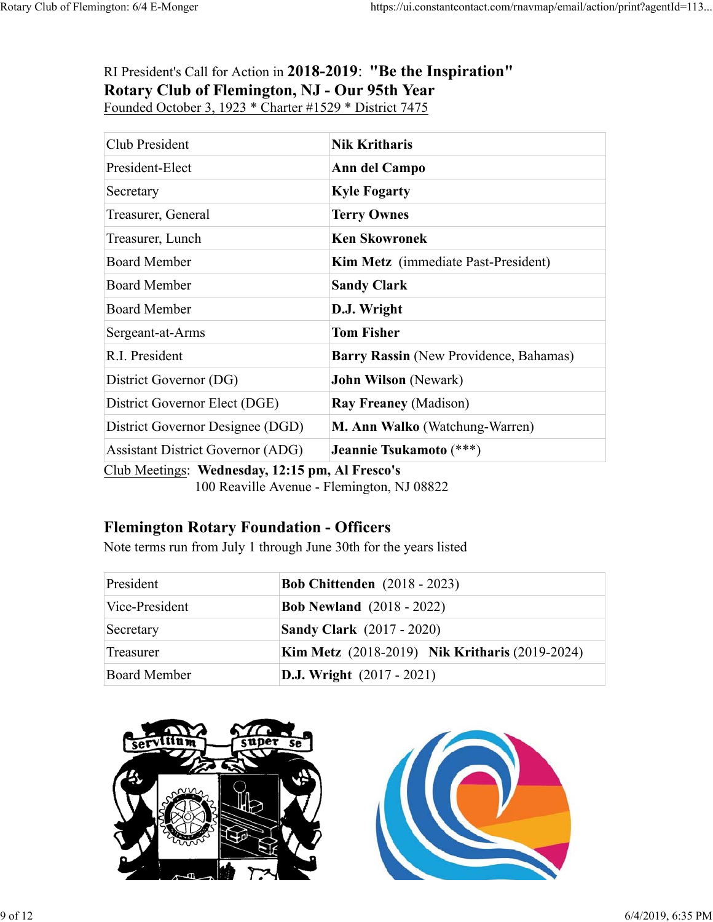# RI President's Call for Action in **2018-2019**: **"Be the Inspiration" Rotary Club of Flemington, NJ - Our 95th Year** Founded October 3, 1923 \* Charter #1529 \* District 7475

| Club President                           | <b>Nik Kritharis</b>                       |  |
|------------------------------------------|--------------------------------------------|--|
| President-Elect                          | Ann del Campo                              |  |
| Secretary                                | <b>Kyle Fogarty</b>                        |  |
| Treasurer, General                       | <b>Terry Ownes</b>                         |  |
| Treasurer, Lunch                         | <b>Ken Skowronek</b>                       |  |
| <b>Board Member</b>                      | <b>Kim Metz</b> (immediate Past-President) |  |
| <b>Board Member</b>                      | <b>Sandy Clark</b>                         |  |
| <b>Board Member</b>                      | D.J. Wright                                |  |
| Sergeant-at-Arms                         | <b>Tom Fisher</b>                          |  |
| R.I. President                           | Barry Rassin (New Providence, Bahamas)     |  |
| District Governor (DG)                   | <b>John Wilson</b> (Newark)                |  |
| District Governor Elect (DGE)            | <b>Ray Freaney (Madison)</b>               |  |
| District Governor Designee (DGD)         | M. Ann Walko (Watchung-Warren)             |  |
| <b>Assistant District Governor (ADG)</b> | Jeannie Tsukamoto (***)<br>$\blacksquare$  |  |

Club Meetings: **Wednesday, 12:15 pm, Al Fresco's** 100 Reaville Avenue - Flemington, NJ 08822

# **Flemington Rotary Foundation - Officers**

Note terms run from July 1 through June 30th for the years listed

| President           | <b>Bob Chittenden</b> (2018 - 2023)                   |  |
|---------------------|-------------------------------------------------------|--|
| Vice-President      | <b>Bob Newland</b> (2018 - 2022)                      |  |
| Secretary           | <b>Sandy Clark</b> (2017 - 2020)                      |  |
| Treasurer           | <b>Kim Metz</b> (2018-2019) Nik Kritharis (2019-2024) |  |
| <b>Board Member</b> | <b>D.J.</b> Wright $(2017 - 2021)$                    |  |



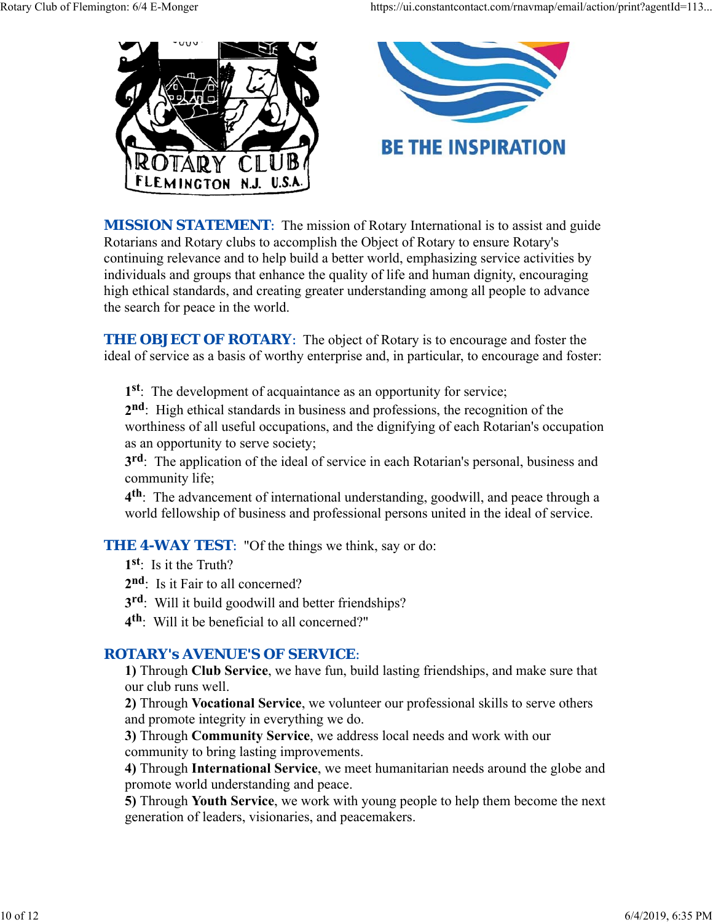

**MISSION STATEMENT:** The mission of Rotary International is to assist and guide Rotarians and Rotary clubs to accomplish the Object of Rotary to ensure Rotary's continuing relevance and to help build a better world, emphasizing service activities by individuals and groups that enhance the quality of life and human dignity, encouraging high ethical standards, and creating greater understanding among all people to advance the search for peace in the world.

**THE OBJECT OF ROTARY:** The object of Rotary is to encourage and foster the ideal of service as a basis of worthy enterprise and, in particular, to encourage and foster:

**1st**: The development of acquaintance as an opportunity for service;

**2nd**: High ethical standards in business and professions, the recognition of the worthiness of all useful occupations, and the dignifying of each Rotarian's occupation as an opportunity to serve society;

**3rd**: The application of the ideal of service in each Rotarian's personal, business and community life;

**4th**: The advancement of international understanding, goodwill, and peace through a world fellowship of business and professional persons united in the ideal of service.

**THE 4-WAY TEST:** "Of the things we think, say or do:

**1st**: Is it the Truth?

2<sup>nd</sup>: Is it Fair to all concerned?

**3rd**: Will it build goodwill and better friendships?

**4th**: Will it be beneficial to all concerned?"

### *ROTARY's AVENUE'S OF SERVICE*:

**1)** Through **Club Service**, we have fun, build lasting friendships, and make sure that our club runs well.

**2)** Through **Vocational Service**, we volunteer our professional skills to serve others and promote integrity in everything we do.

**3)** Through **Community Service**, we address local needs and work with our community to bring lasting improvements.

**4)** Through **International Service**, we meet humanitarian needs around the globe and promote world understanding and peace.

**5)** Through **Youth Service**, we work with young people to help them become the next generation of leaders, visionaries, and peacemakers.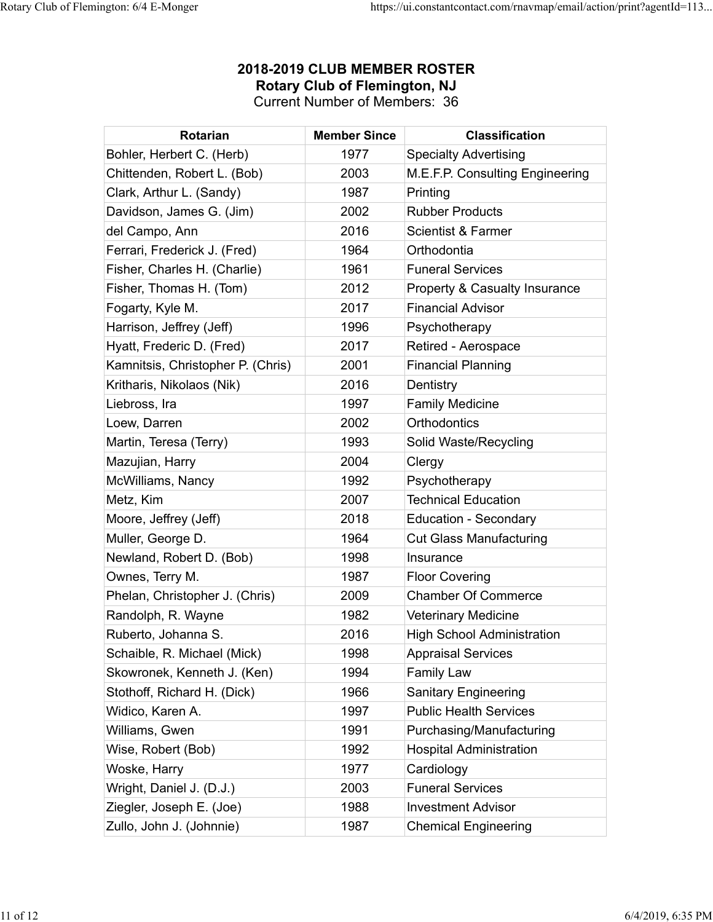| <b>Rotarian</b>                   | <b>Member Since</b> | <b>Classification</b>                    |
|-----------------------------------|---------------------|------------------------------------------|
| Bohler, Herbert C. (Herb)         | 1977                | <b>Specialty Advertising</b>             |
| Chittenden, Robert L. (Bob)       | 2003                | M.E.F.P. Consulting Engineering          |
| Clark, Arthur L. (Sandy)          | 1987                | Printing                                 |
| Davidson, James G. (Jim)          | 2002                | <b>Rubber Products</b>                   |
| del Campo, Ann                    | 2016                | <b>Scientist &amp; Farmer</b>            |
| Ferrari, Frederick J. (Fred)      | 1964                | Orthodontia                              |
| Fisher, Charles H. (Charlie)      | 1961                | <b>Funeral Services</b>                  |
| Fisher, Thomas H. (Tom)           | 2012                | <b>Property &amp; Casualty Insurance</b> |
| Fogarty, Kyle M.                  | 2017                | <b>Financial Advisor</b>                 |
| Harrison, Jeffrey (Jeff)          | 1996                | Psychotherapy                            |
| Hyatt, Frederic D. (Fred)         | 2017                | Retired - Aerospace                      |
| Kamnitsis, Christopher P. (Chris) | 2001                | <b>Financial Planning</b>                |
| Kritharis, Nikolaos (Nik)         | 2016                | Dentistry                                |
| Liebross, Ira                     | 1997                | <b>Family Medicine</b>                   |
| Loew, Darren                      | 2002                | Orthodontics                             |
| Martin, Teresa (Terry)            | 1993                | Solid Waste/Recycling                    |
| Mazujian, Harry                   | 2004                | Clergy                                   |
| McWilliams, Nancy                 | 1992                | Psychotherapy                            |
| Metz, Kim                         | 2007                | <b>Technical Education</b>               |
| Moore, Jeffrey (Jeff)             | 2018                | <b>Education - Secondary</b>             |
| Muller, George D.                 | 1964                | <b>Cut Glass Manufacturing</b>           |
| Newland, Robert D. (Bob)          | 1998                | Insurance                                |
| Ownes, Terry M.                   | 1987                | <b>Floor Covering</b>                    |
| Phelan, Christopher J. (Chris)    | 2009                | <b>Chamber Of Commerce</b>               |
| Randolph, R. Wayne                | 1982                | <b>Veterinary Medicine</b>               |
| Ruberto, Johanna S.               | 2016                | <b>High School Administration</b>        |
| Schaible, R. Michael (Mick)       | 1998                | <b>Appraisal Services</b>                |
| Skowronek, Kenneth J. (Ken)       | 1994                | <b>Family Law</b>                        |
| Stothoff, Richard H. (Dick)       | 1966                | <b>Sanitary Engineering</b>              |
| Widico, Karen A.                  | 1997                | <b>Public Health Services</b>            |
| Williams, Gwen                    | 1991                | Purchasing/Manufacturing                 |
| Wise, Robert (Bob)                | 1992                | <b>Hospital Administration</b>           |
| Woske, Harry                      | 1977                | Cardiology                               |
| Wright, Daniel J. (D.J.)          | 2003                | <b>Funeral Services</b>                  |
| Ziegler, Joseph E. (Joe)          | 1988                | <b>Investment Advisor</b>                |
| Zullo, John J. (Johnnie)          | 1987                | <b>Chemical Engineering</b>              |

### **2018-2019 CLUB MEMBER ROSTER Rotary Club of Flemington, NJ** Current Number of Members: 36